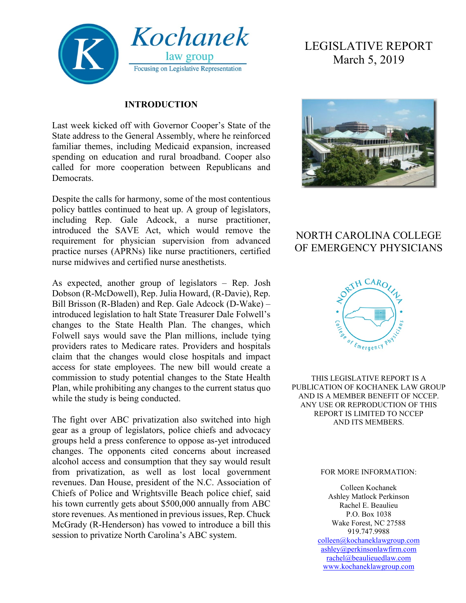

#### **INTRODUCTION**

Last week kicked off with Governor Cooper's State of the State address to the General Assembly, where he reinforced familiar themes, including Medicaid expansion, increased spending on education and rural broadband. Cooper also called for more cooperation between Republicans and Democrats.

Despite the calls for harmony, some of the most contentious policy battles continued to heat up. A group of legislators, including Rep. Gale Adcock, a nurse practitioner, introduced the SAVE Act, which would remove the requirement for physician supervision from advanced practice nurses (APRNs) like nurse practitioners, certified nurse midwives and certified nurse anesthetists.

As expected, another group of legislators – Rep. Josh Dobson (R-McDowell), Rep. Julia Howard, (R-Davie), Rep. Bill Brisson (R-Bladen) and Rep. Gale Adcock (D-Wake) – introduced legislation to halt State Treasurer Dale Folwell's changes to the State Health Plan. The changes, which Folwell says would save the Plan millions, include tying providers rates to Medicare rates. Providers and hospitals claim that the changes would close hospitals and impact access for state employees. The new bill would create a commission to study potential changes to the State Health Plan, while prohibiting any changes to the current status quo while the study is being conducted.

The fight over ABC privatization also switched into high gear as a group of legislators, police chiefs and advocacy groups held a press conference to oppose as-yet introduced changes. The opponents cited concerns about increased alcohol access and consumption that they say would result from privatization, as well as lost local government revenues. Dan House, president of the N.C. Association of Chiefs of Police and Wrightsville Beach police chief, said his town currently gets about \$500,000 annually from ABC store revenues. As mentioned in previous issues, Rep. Chuck McGrady (R-Henderson) has vowed to introduce a bill this session to privatize North Carolina's ABC system.

# LEGISLATIVE REPORT March 5, 2019



## NORTH CAROLINA COLLEGE OF EMERGENCY PHYSICIANS



THIS LEGISLATIVE REPORT IS A PUBLICATION OF KOCHANEK LAW GROUP AND IS A MEMBER BENEFIT OF NCCEP. ANY USE OR REPRODUCTION OF THIS REPORT IS LIMITED TO NCCEP AND ITS MEMBERS.

#### FOR MORE INFORMATION:

Colleen Kochanek Ashley Matlock Perkinson Rachel E. Beaulieu P.O. Box 1038 Wake Forest, NC 27588 919.747.9988 [colleen@kochaneklawgroup.com](mailto:colleen@kochaneklawgroup.com) [ashley@perkinsonlawfirm.com](mailto:ashley@perkinsonlawfirm.com) [rachel@beaulieuedlaw.com](mailto:rachel@beaulieuedlaw.com) [www.kochaneklawgroup.com](http://www.kochaneklawgroup.com/)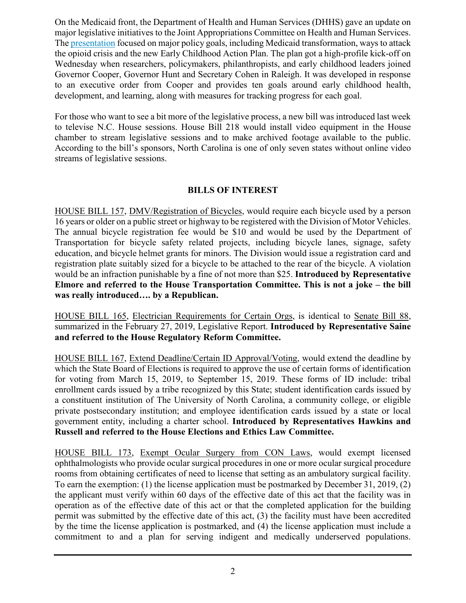On the Medicaid front, the Department of Health and Human Services (DHHS) gave an update on major legislative initiatives to the Joint Appropriations Committee on Health and Human Services. The [presentation](https://www.ncleg.gov/documentsites/committees/JointAppropriationsHHS/2019%20Session/02-26-2019/DHHS%20Budget%20Item%20Update%202017-19.pdf) focused on major policy goals, including Medicaid transformation, ways to attack the opioid crisis and the new Early Childhood Action Plan. The plan got a high-profile kick-off on Wednesday when researchers, policymakers, philanthropists, and early childhood leaders joined Governor Cooper, Governor Hunt and Secretary Cohen in Raleigh. It was developed in response to an executive order from Cooper and provides ten goals around early childhood health, development, and learning, along with measures for tracking progress for each goal.

For those who want to see a bit more of the legislative process, a new bill was introduced last week to televise N.C. House sessions. House Bill 218 would install video equipment in the House chamber to stream legislative sessions and to make archived footage available to the public. According to the bill's sponsors, North Carolina is one of only seven states without online video streams of legislative sessions.

#### **BILLS OF INTEREST**

HOUSE BILL 157, DMV/Registration of Bicycles, would require each bicycle used by a person 16 years or older on a public street or highway to be registered with the Division of Motor Vehicles. The annual bicycle registration fee would be \$10 and would be used by the Department of Transportation for bicycle safety related projects, including bicycle lanes, signage, safety education, and bicycle helmet grants for minors. The Division would issue a registration card and registration plate suitably sized for a bicycle to be attached to the rear of the bicycle. A violation would be an infraction punishable by a fine of not more than \$25. **Introduced by Representative Elmore and referred to the House Transportation Committee. This is not a joke – the bill was really introduced…. by a Republican.**

HOUSE BILL 165, Electrician Requirements for Certain Orgs, is identical to Senate Bill 88, summarized in the February 27, 2019, Legislative Report. **Introduced by Representative Saine and referred to the House Regulatory Reform Committee.**

HOUSE BILL 167, Extend Deadline/Certain ID Approval/Voting, would extend the deadline by which the State Board of Elections is required to approve the use of certain forms of identification for voting from March 15, 2019, to September 15, 2019. These forms of ID include: tribal enrollment cards issued by a tribe recognized by this State; student identification cards issued by a constituent institution of The University of North Carolina, a community college, or eligible private postsecondary institution; and employee identification cards issued by a state or local government entity, including a charter school. **Introduced by Representatives Hawkins and Russell and referred to the House Elections and Ethics Law Committee.**

HOUSE BILL 173, Exempt Ocular Surgery from CON Laws, would exempt licensed ophthalmologists who provide ocular surgical procedures in one or more ocular surgical procedure rooms from obtaining certificates of need to license that setting as an ambulatory surgical facility. To earn the exemption: (1) the license application must be postmarked by December 31, 2019, (2) the applicant must verify within 60 days of the effective date of this act that the facility was in operation as of the effective date of this act or that the completed application for the building permit was submitted by the effective date of this act, (3) the facility must have been accredited by the time the license application is postmarked, and (4) the license application must include a commitment to and a plan for serving indigent and medically underserved populations.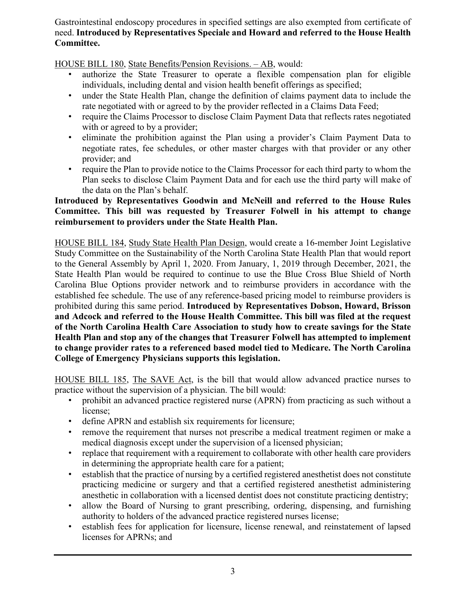Gastrointestinal endoscopy procedures in specified settings are also exempted from certificate of need. **Introduced by Representatives Speciale and Howard and referred to the House Health Committee.**

HOUSE BILL 180, State Benefits/Pension Revisions. – AB, would:

- authorize the State Treasurer to operate a flexible compensation plan for eligible individuals, including dental and vision health benefit offerings as specified;
- under the State Health Plan, change the definition of claims payment data to include the rate negotiated with or agreed to by the provider reflected in a Claims Data Feed;
- require the Claims Processor to disclose Claim Payment Data that reflects rates negotiated with or agreed to by a provider;
- eliminate the prohibition against the Plan using a provider's Claim Payment Data to negotiate rates, fee schedules, or other master charges with that provider or any other provider; and
- require the Plan to provide notice to the Claims Processor for each third party to whom the Plan seeks to disclose Claim Payment Data and for each use the third party will make of the data on the Plan's behalf.

#### **Introduced by Representatives Goodwin and McNeill and referred to the House Rules Committee. This bill was requested by Treasurer Folwell in his attempt to change reimbursement to providers under the State Health Plan.**

HOUSE BILL 184, Study State Health Plan Design, would create a 16-member Joint Legislative Study Committee on the Sustainability of the North Carolina State Health Plan that would report to the General Assembly by April 1, 2020. From January, 1, 2019 through December, 2021, the State Health Plan would be required to continue to use the Blue Cross Blue Shield of North Carolina Blue Options provider network and to reimburse providers in accordance with the established fee schedule. The use of any reference-based pricing model to reimburse providers is prohibited during this same period. **Introduced by Representatives Dobson, Howard, Brisson and Adcock and referred to the House Health Committee. This bill was filed at the request of the North Carolina Health Care Association to study how to create savings for the State Health Plan and stop any of the changes that Treasurer Folwell has attempted to implement to change provider rates to a referenced based model tied to Medicare. The North Carolina College of Emergency Physicians supports this legislation.**

HOUSE BILL 185, The SAVE Act, is the bill that would allow advanced practice nurses to practice without the supervision of a physician. The bill would:

- prohibit an advanced practice registered nurse (APRN) from practicing as such without a license;
- define APRN and establish six requirements for licensure;
- remove the requirement that nurses not prescribe a medical treatment regimen or make a medical diagnosis except under the supervision of a licensed physician;
- replace that requirement with a requirement to collaborate with other health care providers in determining the appropriate health care for a patient;
- establish that the practice of nursing by a certified registered anesthetist does not constitute practicing medicine or surgery and that a certified registered anesthetist administering anesthetic in collaboration with a licensed dentist does not constitute practicing dentistry;
- allow the Board of Nursing to grant prescribing, ordering, dispensing, and furnishing authority to holders of the advanced practice registered nurses license;
- establish fees for application for licensure, license renewal, and reinstatement of lapsed licenses for APRNs; and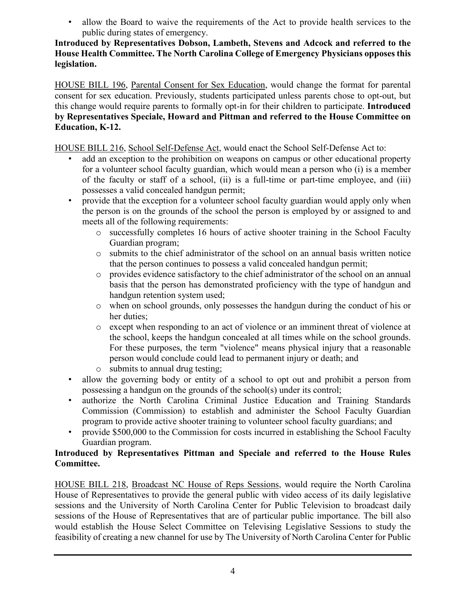• allow the Board to waive the requirements of the Act to provide health services to the public during states of emergency.

#### **Introduced by Representatives Dobson, Lambeth, Stevens and Adcock and referred to the House Health Committee. The North Carolina College of Emergency Physicians opposes this legislation.**

HOUSE BILL 196, Parental Consent for Sex Education, would change the format for parental consent for sex education. Previously, students participated unless parents chose to opt-out, but this change would require parents to formally opt-in for their children to participate. **Introduced by Representatives Speciale, Howard and Pittman and referred to the House Committee on Education, K-12.**

HOUSE BILL 216, School Self-Defense Act, would enact the School Self-Defense Act to:

- add an exception to the prohibition on weapons on campus or other educational property for a volunteer school faculty guardian, which would mean a person who (i) is a member of the faculty or staff of a school, (ii) is a full-time or part-time employee, and (iii) possesses a valid concealed handgun permit;
- provide that the exception for a volunteer school faculty guardian would apply only when the person is on the grounds of the school the person is employed by or assigned to and meets all of the following requirements:
	- o successfully completes 16 hours of active shooter training in the School Faculty Guardian program;
	- o submits to the chief administrator of the school on an annual basis written notice that the person continues to possess a valid concealed handgun permit;
	- o provides evidence satisfactory to the chief administrator of the school on an annual basis that the person has demonstrated proficiency with the type of handgun and handgun retention system used;
	- o when on school grounds, only possesses the handgun during the conduct of his or her duties;
	- o except when responding to an act of violence or an imminent threat of violence at the school, keeps the handgun concealed at all times while on the school grounds. For these purposes, the term "violence" means physical injury that a reasonable person would conclude could lead to permanent injury or death; and
	- o submits to annual drug testing;
- allow the governing body or entity of a school to opt out and prohibit a person from possessing a handgun on the grounds of the school(s) under its control;
- authorize the North Carolina Criminal Justice Education and Training Standards Commission (Commission) to establish and administer the School Faculty Guardian program to provide active shooter training to volunteer school faculty guardians; and
- provide \$500,000 to the Commission for costs incurred in establishing the School Faculty Guardian program.

#### **Introduced by Representatives Pittman and Speciale and referred to the House Rules Committee.**

HOUSE BILL 218, Broadcast NC House of Reps Sessions, would require the North Carolina House of Representatives to provide the general public with video access of its daily legislative sessions and the University of North Carolina Center for Public Television to broadcast daily sessions of the House of Representatives that are of particular public importance. The bill also would establish the House Select Committee on Televising Legislative Sessions to study the feasibility of creating a new channel for use by The University of North Carolina Center for Public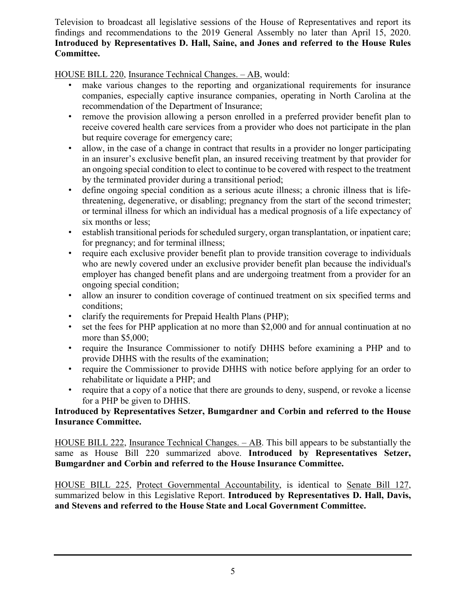Television to broadcast all legislative sessions of the House of Representatives and report its findings and recommendations to the 2019 General Assembly no later than April 15, 2020. **Introduced by Representatives D. Hall, Saine, and Jones and referred to the House Rules Committee.**

HOUSE BILL 220, Insurance Technical Changes. – AB, would:

- make various changes to the reporting and organizational requirements for insurance companies, especially captive insurance companies, operating in North Carolina at the recommendation of the Department of Insurance;
- remove the provision allowing a person enrolled in a preferred provider benefit plan to receive covered health care services from a provider who does not participate in the plan but require coverage for emergency care;
- allow, in the case of a change in contract that results in a provider no longer participating in an insurer's exclusive benefit plan, an insured receiving treatment by that provider for an ongoing special condition to elect to continue to be covered with respect to the treatment by the terminated provider during a transitional period;
- define ongoing special condition as a serious acute illness; a chronic illness that is lifethreatening, degenerative, or disabling; pregnancy from the start of the second trimester; or terminal illness for which an individual has a medical prognosis of a life expectancy of six months or less;
- establish transitional periods for scheduled surgery, organ transplantation, or inpatient care; for pregnancy; and for terminal illness;
- require each exclusive provider benefit plan to provide transition coverage to individuals who are newly covered under an exclusive provider benefit plan because the individual's employer has changed benefit plans and are undergoing treatment from a provider for an ongoing special condition;
- allow an insurer to condition coverage of continued treatment on six specified terms and conditions;
- clarify the requirements for Prepaid Health Plans (PHP);
- set the fees for PHP application at no more than \$2,000 and for annual continuation at no more than \$5,000;
- require the Insurance Commissioner to notify DHHS before examining a PHP and to provide DHHS with the results of the examination;
- require the Commissioner to provide DHHS with notice before applying for an order to rehabilitate or liquidate a PHP; and
- require that a copy of a notice that there are grounds to deny, suspend, or revoke a license for a PHP be given to DHHS.

#### **Introduced by Representatives Setzer, Bumgardner and Corbin and referred to the House Insurance Committee.**

HOUSE BILL 222, Insurance Technical Changes. – AB. This bill appears to be substantially the same as House Bill 220 summarized above. **Introduced by Representatives Setzer, Bumgardner and Corbin and referred to the House Insurance Committee.**

HOUSE BILL 225, Protect Governmental Accountability, is identical to Senate Bill 127, summarized below in this Legislative Report. **Introduced by Representatives D. Hall, Davis, and Stevens and referred to the House State and Local Government Committee.**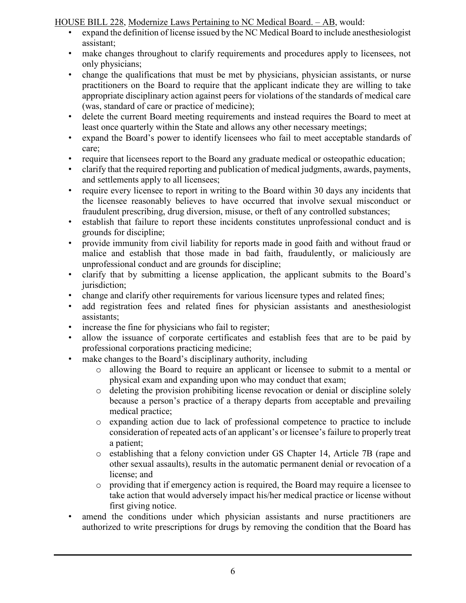HOUSE BILL 228, Modernize Laws Pertaining to NC Medical Board. – AB, would:

- expand the definition of license issued by the NC Medical Board to include anesthesiologist assistant;
- make changes throughout to clarify requirements and procedures apply to licensees, not only physicians;
- change the qualifications that must be met by physicians, physician assistants, or nurse practitioners on the Board to require that the applicant indicate they are willing to take appropriate disciplinary action against peers for violations of the standards of medical care (was, standard of care or practice of medicine);
- delete the current Board meeting requirements and instead requires the Board to meet at least once quarterly within the State and allows any other necessary meetings;
- expand the Board's power to identify licensees who fail to meet acceptable standards of care;
- require that licensees report to the Board any graduate medical or osteopathic education;
- clarify that the required reporting and publication of medical judgments, awards, payments, and settlements apply to all licensees;
- require every licensee to report in writing to the Board within 30 days any incidents that the licensee reasonably believes to have occurred that involve sexual misconduct or fraudulent prescribing, drug diversion, misuse, or theft of any controlled substances;
- establish that failure to report these incidents constitutes unprofessional conduct and is grounds for discipline;
- provide immunity from civil liability for reports made in good faith and without fraud or malice and establish that those made in bad faith, fraudulently, or maliciously are unprofessional conduct and are grounds for discipline;
- clarify that by submitting a license application, the applicant submits to the Board's jurisdiction;
- change and clarify other requirements for various licensure types and related fines;
- add registration fees and related fines for physician assistants and anesthesiologist assistants;
- increase the fine for physicians who fail to register;
- allow the issuance of corporate certificates and establish fees that are to be paid by professional corporations practicing medicine;
- make changes to the Board's disciplinary authority, including
	- o allowing the Board to require an applicant or licensee to submit to a mental or physical exam and expanding upon who may conduct that exam;
	- o deleting the provision prohibiting license revocation or denial or discipline solely because a person's practice of a therapy departs from acceptable and prevailing medical practice;
	- o expanding action due to lack of professional competence to practice to include consideration of repeated acts of an applicant's or licensee's failure to properly treat a patient;
	- o establishing that a felony conviction under GS Chapter 14, Article 7B (rape and other sexual assaults), results in the automatic permanent denial or revocation of a license; and
	- o providing that if emergency action is required, the Board may require a licensee to take action that would adversely impact his/her medical practice or license without first giving notice.
- amend the conditions under which physician assistants and nurse practitioners are authorized to write prescriptions for drugs by removing the condition that the Board has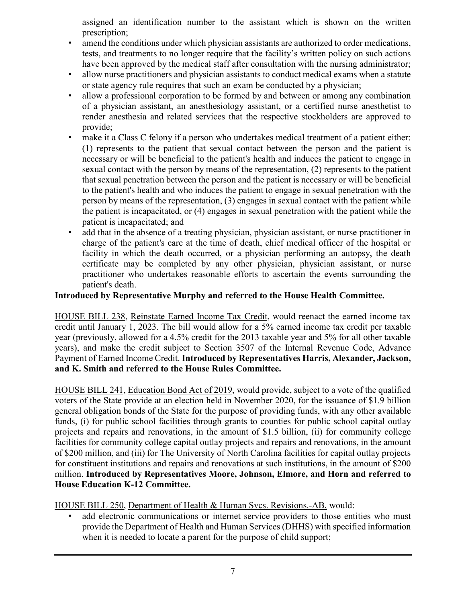assigned an identification number to the assistant which is shown on the written prescription;

- amend the conditions under which physician assistants are authorized to order medications, tests, and treatments to no longer require that the facility's written policy on such actions have been approved by the medical staff after consultation with the nursing administrator;
- allow nurse practitioners and physician assistants to conduct medical exams when a statute or state agency rule requires that such an exam be conducted by a physician;
- allow a professional corporation to be formed by and between or among any combination of a physician assistant, an anesthesiology assistant, or a certified nurse anesthetist to render anesthesia and related services that the respective stockholders are approved to provide;
- make it a Class C felony if a person who undertakes medical treatment of a patient either: (1) represents to the patient that sexual contact between the person and the patient is necessary or will be beneficial to the patient's health and induces the patient to engage in sexual contact with the person by means of the representation, (2) represents to the patient that sexual penetration between the person and the patient is necessary or will be beneficial to the patient's health and who induces the patient to engage in sexual penetration with the person by means of the representation, (3) engages in sexual contact with the patient while the patient is incapacitated, or (4) engages in sexual penetration with the patient while the patient is incapacitated; and
- add that in the absence of a treating physician, physician assistant, or nurse practitioner in charge of the patient's care at the time of death, chief medical officer of the hospital or facility in which the death occurred, or a physician performing an autopsy, the death certificate may be completed by any other physician, physician assistant, or nurse practitioner who undertakes reasonable efforts to ascertain the events surrounding the patient's death.

#### **Introduced by Representative Murphy and referred to the House Health Committee.**

HOUSE BILL 238, Reinstate Earned Income Tax Credit, would reenact the earned income tax credit until January 1, 2023. The bill would allow for a 5% earned income tax credit per taxable year (previously, allowed for a 4.5% credit for the 2013 taxable year and 5% for all other taxable years), and make the credit subject to Section 3507 of the Internal Revenue Code, Advance Payment of Earned Income Credit. **Introduced by Representatives Harris, Alexander, Jackson, and K. Smith and referred to the House Rules Committee.**

HOUSE BILL 241, Education Bond Act of 2019, would provide, subject to a vote of the qualified voters of the State provide at an election held in November 2020, for the issuance of \$1.9 billion general obligation bonds of the State for the purpose of providing funds, with any other available funds, (i) for public school facilities through grants to counties for public school capital outlay projects and repairs and renovations, in the amount of \$1.5 billion, (ii) for community college facilities for community college capital outlay projects and repairs and renovations, in the amount of \$200 million, and (iii) for The University of North Carolina facilities for capital outlay projects for constituent institutions and repairs and renovations at such institutions, in the amount of \$200 million. **Introduced by Representatives Moore, Johnson, Elmore, and Horn and referred to House Education K-12 Committee.**

HOUSE BILL 250, Department of Health & Human Svcs. Revisions.-AB, would:

add electronic communications or internet service providers to those entities who must provide the Department of Health and Human Services (DHHS) with specified information when it is needed to locate a parent for the purpose of child support;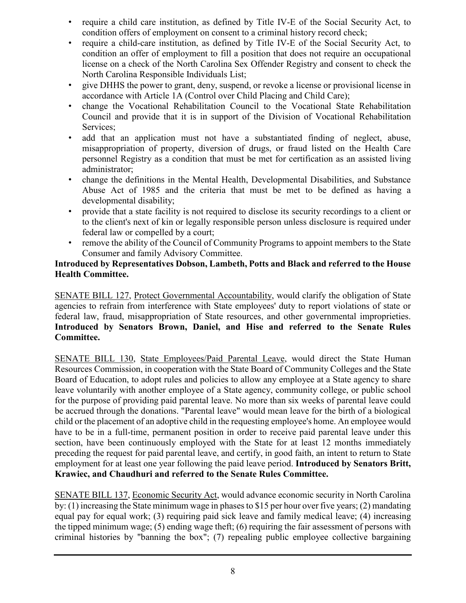- require a child care institution, as defined by Title IV-E of the Social Security Act, to condition offers of employment on consent to a criminal history record check;
- require a child-care institution, as defined by Title IV-E of the Social Security Act, to condition an offer of employment to fill a position that does not require an occupational license on a check of the North Carolina Sex Offender Registry and consent to check the North Carolina Responsible Individuals List;
- give DHHS the power to grant, deny, suspend, or revoke a license or provisional license in accordance with Article 1A (Control over Child Placing and Child Care);
- change the Vocational Rehabilitation Council to the Vocational State Rehabilitation Council and provide that it is in support of the Division of Vocational Rehabilitation Services;
- add that an application must not have a substantiated finding of neglect, abuse, misappropriation of property, diversion of drugs, or fraud listed on the Health Care personnel Registry as a condition that must be met for certification as an assisted living administrator;
- change the definitions in the Mental Health, Developmental Disabilities, and Substance Abuse Act of 1985 and the criteria that must be met to be defined as having a developmental disability;
- provide that a state facility is not required to disclose its security recordings to a client or to the client's next of kin or legally responsible person unless disclosure is required under federal law or compelled by a court;
- remove the ability of the Council of Community Programs to appoint members to the State Consumer and family Advisory Committee.

#### **Introduced by Representatives Dobson, Lambeth, Potts and Black and referred to the House Health Committee.**

SENATE BILL 127, Protect Governmental Accountability, would clarify the obligation of State agencies to refrain from interference with State employees' duty to report violations of state or federal law, fraud, misappropriation of State resources, and other governmental improprieties. **Introduced by Senators Brown, Daniel, and Hise and referred to the Senate Rules Committee.**

SENATE BILL 130, State Employees/Paid Parental Leave, would direct the State Human Resources Commission, in cooperation with the State Board of Community Colleges and the State Board of Education, to adopt rules and policies to allow any employee at a State agency to share leave voluntarily with another employee of a State agency, community college, or public school for the purpose of providing paid parental leave. No more than six weeks of parental leave could be accrued through the donations. "Parental leave" would mean leave for the birth of a biological child or the placement of an adoptive child in the requesting employee's home. An employee would have to be in a full-time, permanent position in order to receive paid parental leave under this section, have been continuously employed with the State for at least 12 months immediately preceding the request for paid parental leave, and certify, in good faith, an intent to return to State employment for at least one year following the paid leave period. **Introduced by Senators Britt, Krawiec, and Chaudhuri and referred to the Senate Rules Committee.**

SENATE BILL 137, Economic Security Act, would advance economic security in North Carolina by: (1) increasing the State minimum wage in phases to \$15 per hour over five years; (2) mandating equal pay for equal work; (3) requiring paid sick leave and family medical leave; (4) increasing the tipped minimum wage; (5) ending wage theft; (6) requiring the fair assessment of persons with criminal histories by "banning the box"; (7) repealing public employee collective bargaining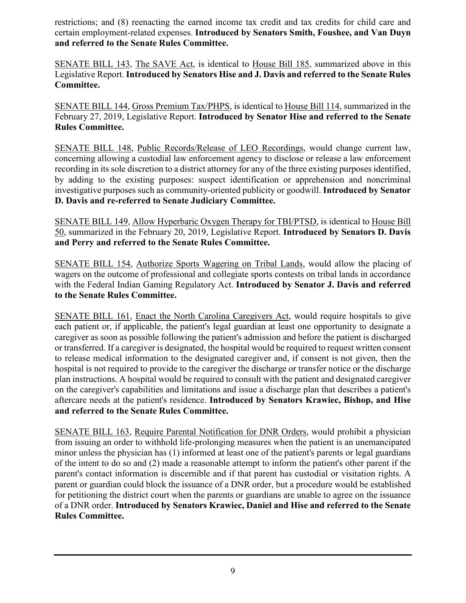restrictions; and (8) reenacting the earned income tax credit and tax credits for child care and certain employment-related expenses. **Introduced by Senators Smith, Foushee, and Van Duyn and referred to the Senate Rules Committee.**

SENATE BILL 143, The SAVE Act, is identical to House Bill 185, summarized above in this Legislative Report. **Introduced by Senators Hise and J. Davis and referred to the Senate Rules Committee.**

SENATE BILL 144, Gross Premium Tax/PHPS, is identical to House Bill 114, summarized in the February 27, 2019, Legislative Report. **Introduced by Senator Hise and referred to the Senate Rules Committee.**

SENATE BILL 148, Public Records/Release of LEO Recordings, would change current law, concerning allowing a custodial law enforcement agency to disclose or release a law enforcement recording in its sole discretion to a district attorney for any of the three existing purposes identified, by adding to the existing purposes: suspect identification or apprehension and noncriminal investigative purposes such as community-oriented publicity or goodwill. **Introduced by Senator D. Davis and re-referred to Senate Judiciary Committee.**

SENATE BILL 149, Allow Hyperbaric Oxygen Therapy for TBI/PTSD, is identical to House Bill 50, summarized in the February 20, 2019, Legislative Report. **Introduced by Senators D. Davis and Perry and referred to the Senate Rules Committee.**

SENATE BILL 154, Authorize Sports Wagering on Tribal Lands, would allow the placing of wagers on the outcome of professional and collegiate sports contests on tribal lands in accordance with the Federal Indian Gaming Regulatory Act. **Introduced by Senator J. Davis and referred to the Senate Rules Committee.**

SENATE BILL 161, Enact the North Carolina Caregivers Act, would require hospitals to give each patient or, if applicable, the patient's legal guardian at least one opportunity to designate a caregiver as soon as possible following the patient's admission and before the patient is discharged or transferred. If a caregiver is designated, the hospital would be required to request written consent to release medical information to the designated caregiver and, if consent is not given, then the hospital is not required to provide to the caregiver the discharge or transfer notice or the discharge plan instructions. A hospital would be required to consult with the patient and designated caregiver on the caregiver's capabilities and limitations and issue a discharge plan that describes a patient's aftercare needs at the patient's residence. **Introduced by Senators Krawiec, Bishop, and Hise and referred to the Senate Rules Committee.**

SENATE BILL 163, Require Parental Notification for DNR Orders, would prohibit a physician from issuing an order to withhold life-prolonging measures when the patient is an unemancipated minor unless the physician has (1) informed at least one of the patient's parents or legal guardians of the intent to do so and (2) made a reasonable attempt to inform the patient's other parent if the parent's contact information is discernible and if that parent has custodial or visitation rights. A parent or guardian could block the issuance of a DNR order, but a procedure would be established for petitioning the district court when the parents or guardians are unable to agree on the issuance of a DNR order. **Introduced by Senators Krawiec, Daniel and Hise and referred to the Senate Rules Committee.**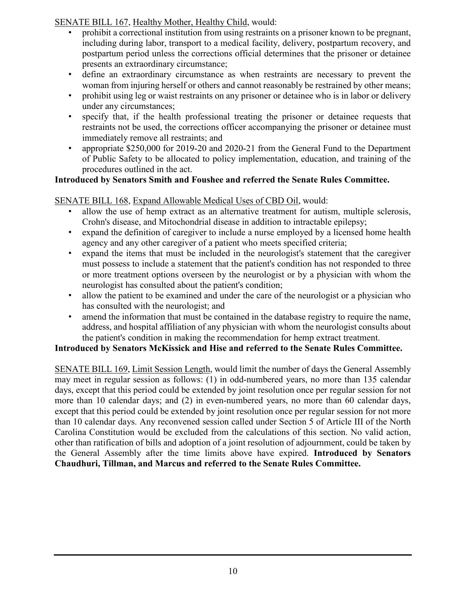SENATE BILL 167, Healthy Mother, Healthy Child, would:

- prohibit a correctional institution from using restraints on a prisoner known to be pregnant, including during labor, transport to a medical facility, delivery, postpartum recovery, and postpartum period unless the corrections official determines that the prisoner or detainee presents an extraordinary circumstance;
- define an extraordinary circumstance as when restraints are necessary to prevent the woman from injuring herself or others and cannot reasonably be restrained by other means;
- prohibit using leg or waist restraints on any prisoner or detainee who is in labor or delivery under any circumstances;
- specify that, if the health professional treating the prisoner or detainee requests that restraints not be used, the corrections officer accompanying the prisoner or detainee must immediately remove all restraints; and
- appropriate \$250,000 for 2019-20 and 2020-21 from the General Fund to the Department of Public Safety to be allocated to policy implementation, education, and training of the procedures outlined in the act.

#### **Introduced by Senators Smith and Foushee and referred the Senate Rules Committee.**

### SENATE BILL 168, Expand Allowable Medical Uses of CBD Oil, would:

- allow the use of hemp extract as an alternative treatment for autism, multiple sclerosis, Crohn's disease, and Mitochondrial disease in addition to intractable epilepsy;
- expand the definition of caregiver to include a nurse employed by a licensed home health agency and any other caregiver of a patient who meets specified criteria;
- expand the items that must be included in the neurologist's statement that the caregiver must possess to include a statement that the patient's condition has not responded to three or more treatment options overseen by the neurologist or by a physician with whom the neurologist has consulted about the patient's condition;
- allow the patient to be examined and under the care of the neurologist or a physician who has consulted with the neurologist; and
- amend the information that must be contained in the database registry to require the name, address, and hospital affiliation of any physician with whom the neurologist consults about the patient's condition in making the recommendation for hemp extract treatment.

#### **Introduced by Senators McKissick and Hise and referred to the Senate Rules Committee.**

SENATE BILL 169, Limit Session Length, would limit the number of days the General Assembly may meet in regular session as follows: (1) in odd-numbered years, no more than 135 calendar days, except that this period could be extended by joint resolution once per regular session for not more than 10 calendar days; and (2) in even-numbered years, no more than 60 calendar days, except that this period could be extended by joint resolution once per regular session for not more than 10 calendar days. Any reconvened session called under Section 5 of Article III of the North Carolina Constitution would be excluded from the calculations of this section. No valid action, other than ratification of bills and adoption of a joint resolution of adjournment, could be taken by the General Assembly after the time limits above have expired. **Introduced by Senators Chaudhuri, Tillman, and Marcus and referred to the Senate Rules Committee.**